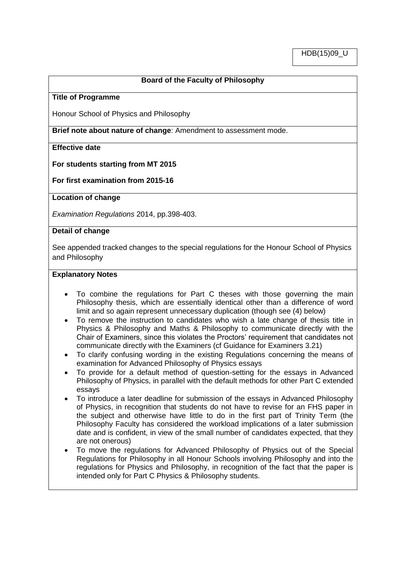# **Board of the Faculty of Philosophy**

## **Title of Programme**

Honour School of Physics and Philosophy

**Brief note about nature of change**: Amendment to assessment mode.

# **Effective date**

# **For students starting from MT 2015**

# **For first examination from 2015-16**

# **Location of change**

*Examination Regulations* 2014, pp.398-403.

## **Detail of change**

See appended tracked changes to the special regulations for the Honour School of Physics and Philosophy

# **Explanatory Notes**

- To combine the regulations for Part C theses with those governing the main Philosophy thesis, which are essentially identical other than a difference of word limit and so again represent unnecessary duplication (though see (4) below)
- To remove the instruction to candidates who wish a late change of thesis title in Physics & Philosophy and Maths & Philosophy to communicate directly with the Chair of Examiners, since this violates the Proctors' requirement that candidates not communicate directly with the Examiners (cf Guidance for Examiners 3.21)
- To clarify confusing wording in the existing Regulations concerning the means of examination for Advanced Philosophy of Physics essays
- To provide for a default method of question-setting for the essays in Advanced Philosophy of Physics, in parallel with the default methods for other Part C extended essays
- To introduce a later deadline for submission of the essays in Advanced Philosophy of Physics, in recognition that students do not have to revise for an FHS paper in the subject and otherwise have little to do in the first part of Trinity Term (the Philosophy Faculty has considered the workload implications of a later submission date and is confident, in view of the small number of candidates expected, that they are not onerous)
- To move the regulations for Advanced Philosophy of Physics out of the Special Regulations for Philosophy in all Honour Schools involving Philosophy and into the regulations for Physics and Philosophy, in recognition of the fact that the paper is intended only for Part C Physics & Philosophy students.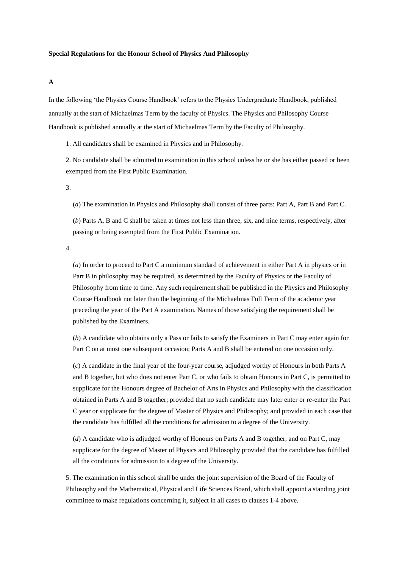**A**

In the following 'the Physics Course Handbook' refers to the Physics Undergraduate Handbook, published annually at the start of Michaelmas Term by the faculty of Physics. The Physics and Philosophy Course Handbook is published annually at the start of Michaelmas Term by the Faculty of Philosophy.

1. All candidates shall be examined in Physics and in Philosophy.

2. No candidate shall be admitted to examination in this school unless he or she has either passed or been exempted from the First Public Examination.

3.

(*a*) The examination in Physics and Philosophy shall consist of three parts: Part A, Part B and Part C.

(*b*) Parts A, B and C shall be taken at times not less than three, six, and nine terms, respectively, after passing or being exempted from the First Public Examination.

4.

(*a*) In order to proceed to Part C a minimum standard of achievement in either Part A in physics or in Part B in philosophy may be required, as determined by the Faculty of Physics or the Faculty of Philosophy from time to time. Any such requirement shall be published in the Physics and Philosophy Course Handbook not later than the beginning of the Michaelmas Full Term of the academic year preceding the year of the Part A examination. Names of those satisfying the requirement shall be published by the Examiners.

(*b*) A candidate who obtains only a Pass or fails to satisfy the Examiners in Part C may enter again for Part C on at most one subsequent occasion; Parts A and B shall be entered on one occasion only.

(*c*) A candidate in the final year of the four-year course, adjudged worthy of Honours in both Parts A and B together, but who does not enter Part C, or who fails to obtain Honours in Part C, is permitted to supplicate for the Honours degree of Bachelor of Arts in Physics and Philosophy with the classification obtained in Parts A and B together; provided that no such candidate may later enter or re-enter the Part C year or supplicate for the degree of Master of Physics and Philosophy; and provided in each case that the candidate has fulfilled all the conditions for admission to a degree of the University.

(*d*) A candidate who is adjudged worthy of Honours on Parts A and B together, and on Part C, may supplicate for the degree of Master of Physics and Philosophy provided that the candidate has fulfilled all the conditions for admission to a degree of the University.

5. The examination in this school shall be under the joint supervision of the Board of the Faculty of Philosophy and the Mathematical, Physical and Life Sciences Board, which shall appoint a standing joint committee to make regulations concerning it, subject in all cases to clauses 1-4 above.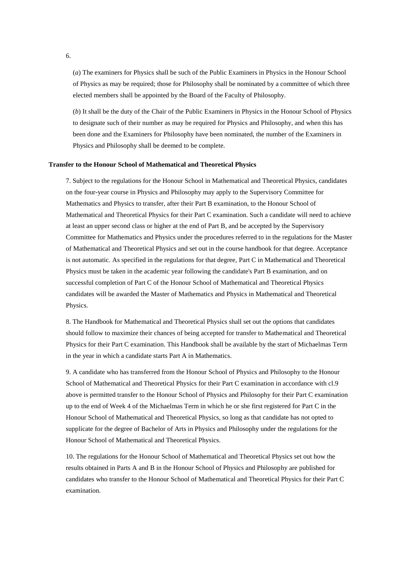(*a*) The examiners for Physics shall be such of the Public Examiners in Physics in the Honour School of Physics as may be required; those for Philosophy shall be nominated by a committee of which three elected members shall be appointed by the Board of the Faculty of Philosophy.

(*b*) It shall be the duty of the Chair of the Public Examiners in Physics in the Honour School of Physics to designate such of their number as may be required for Physics and Philosophy, and when this has been done and the Examiners for Philosophy have been nominated, the number of the Examiners in Physics and Philosophy shall be deemed to be complete.

#### **Transfer to the Honour School of Mathematical and Theoretical Physics**

7. Subject to the regulations for the Honour School in Mathematical and Theoretical Physics, candidates on the four-year course in Physics and Philosophy may apply to the Supervisory Committee for Mathematics and Physics to transfer, after their Part B examination, to the Honour School of Mathematical and Theoretical Physics for their Part C examination. Such a candidate will need to achieve at least an upper second class or higher at the end of Part B, and be accepted by the Supervisory Committee for Mathematics and Physics under the procedures referred to in the regulations for the Master of Mathematical and Theoretical Physics and set out in the course handbook for that degree. Acceptance is not automatic. As specified in the regulations for that degree, Part C in Mathematical and Theoretical Physics must be taken in the academic year following the candidate's Part B examination, and on successful completion of Part C of the Honour School of Mathematical and Theoretical Physics candidates will be awarded the Master of Mathematics and Physics in Mathematical and Theoretical Physics.

8. The Handbook for Mathematical and Theoretical Physics shall set out the options that candidates should follow to maximize their chances of being accepted for transfer to Mathematical and Theoretical Physics for their Part C examination. This Handbook shall be available by the start of Michaelmas Term in the year in which a candidate starts Part A in Mathematics.

9. A candidate who has transferred from the Honour School of Physics and Philosophy to the Honour School of Mathematical and Theoretical Physics for their Part C examination in accordance with cl.9 above is permitted transfer to the Honour School of Physics and Philosophy for their Part C examination up to the end of Week 4 of the Michaelmas Term in which he or she first registered for Part C in the Honour School of Mathematical and Theoretical Physics, so long as that candidate has not opted to supplicate for the degree of Bachelor of Arts in Physics and Philosophy under the regulations for the Honour School of Mathematical and Theoretical Physics.

10. The regulations for the Honour School of Mathematical and Theoretical Physics set out how the results obtained in Parts A and B in the Honour School of Physics and Philosophy are published for candidates who transfer to the Honour School of Mathematical and Theoretical Physics for their Part C examination.

6.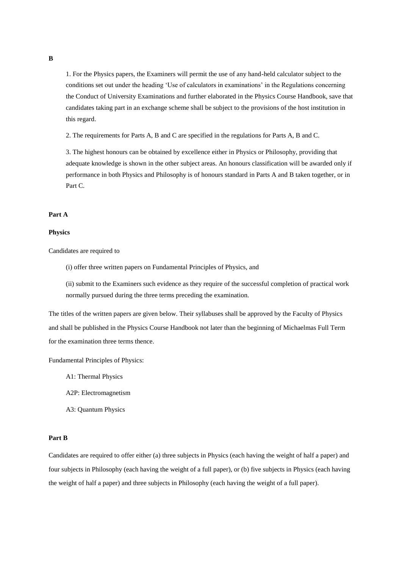1. For the Physics papers, the Examiners will permit the use of any hand-held calculator subject to the conditions set out under the heading 'Use of calculators in examinations' in the Regulations concerning the Conduct of University Examinations and further elaborated in the Physics Course Handbook, save that candidates taking part in an exchange scheme shall be subject to the provisions of the host institution in this regard.

2. The requirements for Parts A, B and C are specified in the regulations for Parts A, B and C.

3. The highest honours can be obtained by excellence either in Physics or Philosophy, providing that adequate knowledge is shown in the other subject areas. An honours classification will be awarded only if performance in both Physics and Philosophy is of honours standard in Parts A and B taken together, or in Part C.

### **Part A**

### **Physics**

Candidates are required to

(i) offer three written papers on Fundamental Principles of Physics, and

(ii) submit to the Examiners such evidence as they require of the successful completion of practical work normally pursued during the three terms preceding the examination.

The titles of the written papers are given below. Their syllabuses shall be approved by the Faculty of Physics and shall be published in the Physics Course Handbook not later than the beginning of Michaelmas Full Term for the examination three terms thence.

Fundamental Principles of Physics:

A1: Thermal Physics

A2P: Electromagnetism

A3: Quantum Physics

### **Part B**

Candidates are required to offer either (a) three subjects in Physics (each having the weight of half a paper) and four subjects in Philosophy (each having the weight of a full paper), or (b) five subjects in Physics (each having the weight of half a paper) and three subjects in Philosophy (each having the weight of a full paper).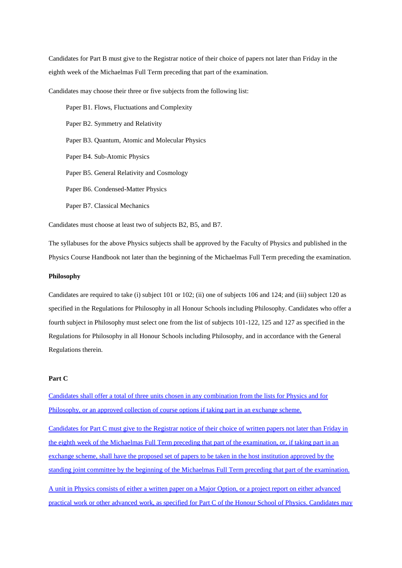Candidates for Part B must give to the Registrar notice of their choice of papers not later than Friday in the eighth week of the Michaelmas Full Term preceding that part of the examination.

Candidates may choose their three or five subjects from the following list:

Paper B1. Flows, Fluctuations and Complexity Paper B2. Symmetry and Relativity Paper B3. Quantum, Atomic and Molecular Physics Paper B4. Sub-Atomic Physics Paper B5. General Relativity and Cosmology Paper B6. Condensed-Matter Physics Paper B7. Classical Mechanics

Candidates must choose at least two of subjects B2, B5, and B7.

The syllabuses for the above Physics subjects shall be approved by the Faculty of Physics and published in the Physics Course Handbook not later than the beginning of the Michaelmas Full Term preceding the examination.

### **Philosophy**

Candidates are required to take (i) subject 101 or 102; (ii) one of subjects 106 and 124; and (iii) subject 120 as specified in the Regulations for Philosophy in all Honour Schools including Philosophy. Candidates who offer a fourth subject in Philosophy must select one from the list of subjects 101-122, 125 and 127 as specified in the Regulations for Philosophy in all Honour Schools including Philosophy, and in accordance with the General Regulations therein.

### **Part C**

Candidates shall offer a total of three units chosen in any combination from the lists for Physics and for Philosophy, or an approved collection of course options if taking part in an exchange scheme.

Candidates for Part C must give to the Registrar notice of their choice of written papers not later than Friday in the eighth week of the Michaelmas Full Term preceding that part of the examination, or, if taking part in an exchange scheme, shall have the proposed set of papers to be taken in the host institution approved by the standing joint committee by the beginning of the Michaelmas Full Term preceding that part of the examination. A unit in Physics consists of either a written paper on a Major Option, or a project report on either advanced practical work or other advanced work, as specified for Part C of the Honour School of Physics. Candidates may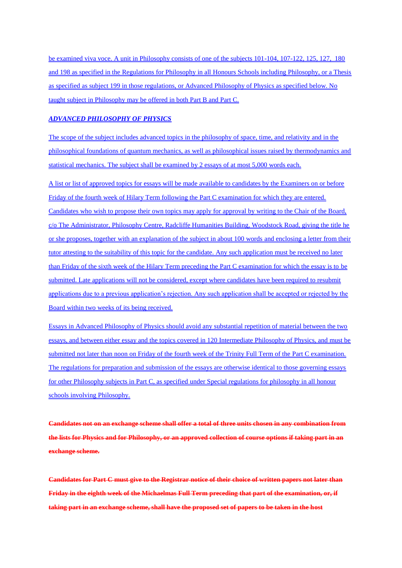be examined viva voce. A unit in Philosophy consists of one of the subjects 101-104, 107-122, 125, 127, 180 and 198 as specified in the Regulations for Philosophy in all Honours Schools including Philosophy, or a Thesis as specified as subject 199 in those regulations, or Advanced Philosophy of Physics as specified below. No taught subject in Philosophy may be offered in both Part B and Part C.

## *ADVANCED PHILOSOPHY OF PHYSICS*

The scope of the subject includes advanced topics in the philosophy of space, time, and relativity and in the philosophical foundations of quantum mechanics, as well as philosophical issues raised by thermodynamics and statistical mechanics. The subject shall be examined by 2 essays of at most 5,000 words each.

A list or list of approved topics for essays will be made available to candidates by the Examiners on or before Friday of the fourth week of Hilary Term following the Part C examination for which they are entered. Candidates who wish to propose their own topics may apply for approval by writing to the Chair of the Board, c/o The Administrator, Philosophy Centre, Radcliffe Humanities Building, Woodstock Road, giving the title he or she proposes, together with an explanation of the subject in about 100 words and enclosing a letter from their tutor attesting to the suitability of this topic for the candidate. Any such application must be received no later than Friday of the sixth week of the Hilary Term preceding the Part C examination for which the essay is to be submitted. Late applications will not be considered, except where candidates have been required to resubmit applications due to a previous application's rejection. Any such application shall be accepted or rejected by the Board within two weeks of its being received.

Essays in Advanced Philosophy of Physics should avoid any substantial repetition of material between the two essays, and between either essay and the topics covered in 120 Intermediate Philosophy of Physics, and must be submitted not later than noon on Friday of the fourth week of the Trinity Full Term of the Part C examination. The regulations for preparation and submission of the essays are otherwise identical to those governing essays for other Philosophy subjects in Part C, as specified under Special regulations for philosophy in all honour schools involving Philosophy.

**Candidates not on an exchange scheme shall offer a total of three units chosen in any combination from the lists for Physics and for Philosophy, or an approved collection of course options if taking part in an exchange scheme.**

**Candidates for Part C must give to the Registrar notice of their choice of written papers not later than Friday in the eighth week of the Michaelmas Full Term preceding that part of the examination, or, if taking part in an exchange scheme, shall have the proposed set of papers to be taken in the host**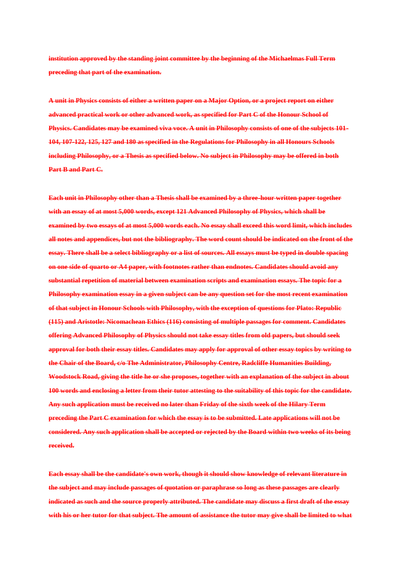**institution approved by the standing joint committee by the beginning of the Michaelmas Full Term preceding that part of the examination.**

**A unit in Physics consists of either a written paper on a Major Option, or a project report on either advanced practical work or other advanced work, as specified for Part C of the Honour School of Physics. Candidates may be examined viva voce. A unit in Philosophy consists of one of the subjects 101- 104, 107-122, 125, 127 and 180 as specified in the Regulations for Philosophy in all Honours Schools including Philosophy, or a Thesis as specified below. No subject in Philosophy may be offered in both Part B and Part C.**

**Each unit in Philosophy other than a Thesis shall be examined by a three-hour written paper together with an essay of at most 5,000 words, except 121 Advanced Philosophy of Physics, which shall be examined by two essays of at most 5,000 words each. No essay shall exceed this word limit, which includes all notes and appendices, but not the bibliography. The word count should be indicated on the front of the essay. There shall be a select bibliography or a list of sources. All essays must be typed in double spacing on one side of quarto or A4 paper, with footnotes rather than endnotes. Candidates should avoid any substantial repetition of material between examination scripts and examination essays. The topic for a Philosophy examination essay in a given subject can be any question set for the most recent examination of that subject in Honour Schools with Philosophy, with the exception of questions for Plato: Republic (115) and Aristotle: Nicomachean Ethics (116) consisting of multiple passages for comment. Candidates offering Advanced Philosophy of Physics should not take essay titles from old papers, but should seek approval for both their essay titles. Candidates may apply for approval of other essay topics by writing to the Chair of the Board, c/o The Administrator, Philosophy Centre, Radcliffe Humanities Building, Woodstock Road, giving the title he or she proposes, together with an explanation of the subject in about 100 words and enclosing a letter from their tutor attesting to the suitability of this topic for the candidate. Any such application must be received no later than Friday of the sixth week of the Hilary Term preceding the Part C examination for which the essay is to be submitted. Late applications will not be considered. Any such application shall be accepted or rejected by the Board within two weeks of its being received.**

**Each essay shall be the candidate's own work, though it should show knowledge of relevant literature in the subject and may include passages of quotation or paraphrase so long as these passages are clearly indicated as such and the source properly attributed. The candidate may discuss a first draft of the essay with his or her tutor for that subject. The amount of assistance the tutor may give shall be limited to what**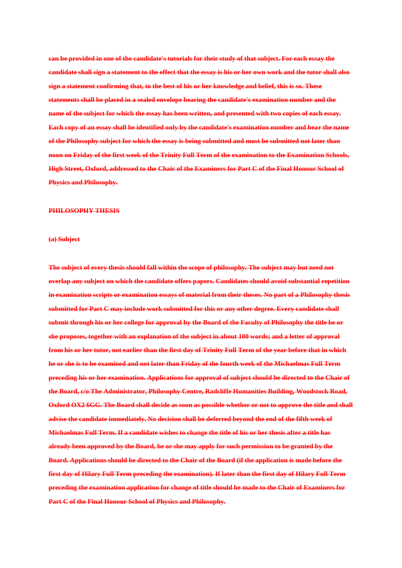**can be provided in one of the candidate's tutorials for their study of that subject. For each essay the candidate shall sign a statement to the effect that the essay is his or her own work and the tutor shall also sign a statement confirming that, to the best of his or her knowledge and belief, this is so. These statements shall be placed in a sealed envelope bearing the candidate's examination number and the name of the subject for which the essay has been written, and presented with two copies of each essay. Each copy of an essay shall be identified only by the candidate's examination number and bear the name of the Philosophy subject for which the essay is being submitted and must be submitted not later than noon on Friday of the first week of the Trinity Full Term of the examination to the Examination Schools, High Street, Oxford, addressed to the Chair of the Examiners for Part C of the Final Honour School of Physics and Philosophy.**

#### **PHILOSOPHY THESIS**

#### **(a) Subject**

**The subject of every thesis should fall within the scope of philosophy. The subject may but need not overlap any subject on which the candidate offers papers. Candidates should avoid substantial repetition in examination scripts or examination essays of material from their theses. No part of a Philosophy thesis submitted for Part C may include work submitted for this or any other degree. Every candidate shall submit through his or her college for approval by the Board of the Faculty of Philosophy the title he or she proposes, together with an explanation of the subject in about 100 words; and a letter of approval from his or her tutor, not earlier than the first day of Trinity Full Term of the year before that in which he or she is to be examined and not later than Friday of the fourth week of the Michaelmas Full Term preceding his or her examination. Applications for approval of subject should be directed to the Chair of the Board, c/o The Administrator, Philosophy Centre, Radcliffe Humanities Building, Woodstock Road, Oxford OX2 6GG. The Board shall decide as soon as possible whether or not to approve the title and shall advise the candidate immediately. No decision shall be deferred beyond the end of the fifth week of Michaelmas Full Term. If a candidate wishes to change the title of his or her thesis after a title has already been approved by the Board, he or she may apply for such permission to be granted by the Board. Applications should be directed to the Chair of the Board (if the application is made before the first day of Hilary Full Term preceding the examination). If later than the first day of Hilary Full Term preceding the examination application for change of title should be made to the Chair of Examiners for Part C of the Final Honour School of Physics and Philosophy.**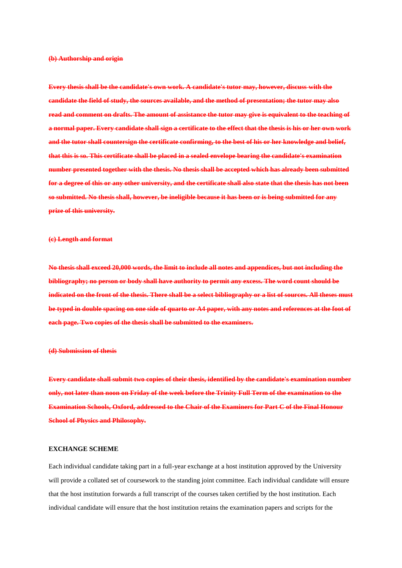**Every thesis shall be the candidate's own work. A candidate's tutor may, however, discuss with the candidate the field of study, the sources available, and the method of presentation; the tutor may also read and comment on drafts. The amount of assistance the tutor may give is equivalent to the teaching of a normal paper. Every candidate shall sign a certificate to the effect that the thesis is his or her own work and the tutor shall countersign the certificate confirming, to the best of his or her knowledge and belief, that this is so. This certificate shall be placed in a sealed envelope bearing the candidate's examination number presented together with the thesis. No thesis shall be accepted which has already been submitted for a degree of this or any other university, and the certificate shall also state that the thesis has not been so submitted. No thesis shall, however, be ineligible because it has been or is being submitted for any prize of this university.**

#### **(c) Length and format**

**No thesis shall exceed 20,000 words, the limit to include all notes and appendices, but not including the bibliography; no person or body shall have authority to permit any excess. The word count should be indicated on the front of the thesis. There shall be a select bibliography or a list of sources. All theses must be typed in double spacing on one side of quarto or A4 paper, with any notes and references at the foot of each page. Two copies of the thesis shall be submitted to the examiners.**

### **(d) Submission of thesis**

**Every candidate shall submit two copies of their thesis, identified by the candidate's examination number only, not later than noon on Friday of the week before the Trinity Full Term of the examination to the Examination Schools, Oxford, addressed to the Chair of the Examiners for Part C of the Final Honour School of Physics and Philosophy.**

### **EXCHANGE SCHEME**

Each individual candidate taking part in a full-year exchange at a host institution approved by the University will provide a collated set of coursework to the standing joint committee. Each individual candidate will ensure that the host institution forwards a full transcript of the courses taken certified by the host institution. Each individual candidate will ensure that the host institution retains the examination papers and scripts for the